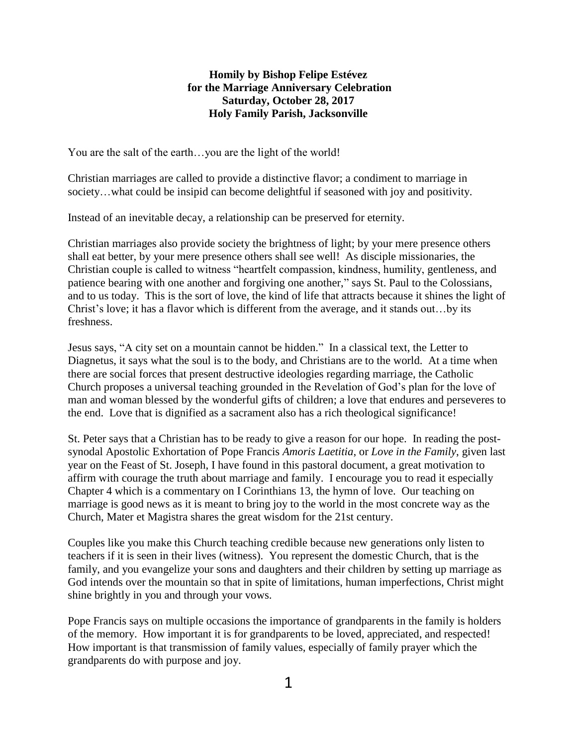## **Homily by Bishop Felipe Estévez for the Marriage Anniversary Celebration Saturday, October 28, 2017 Holy Family Parish, Jacksonville**

You are the salt of the earth…you are the light of the world!

Christian marriages are called to provide a distinctive flavor; a condiment to marriage in society…what could be insipid can become delightful if seasoned with joy and positivity.

Instead of an inevitable decay, a relationship can be preserved for eternity.

Christian marriages also provide society the brightness of light; by your mere presence others shall eat better, by your mere presence others shall see well! As disciple missionaries, the Christian couple is called to witness "heartfelt compassion, kindness, humility, gentleness, and patience bearing with one another and forgiving one another," says St. Paul to the Colossians, and to us today. This is the sort of love, the kind of life that attracts because it shines the light of Christ's love; it has a flavor which is different from the average, and it stands out…by its freshness.

Jesus says, "A city set on a mountain cannot be hidden." In a classical text, the Letter to Diagnetus, it says what the soul is to the body, and Christians are to the world. At a time when there are social forces that present destructive ideologies regarding marriage, the Catholic Church proposes a universal teaching grounded in the Revelation of God's plan for the love of man and woman blessed by the wonderful gifts of children; a love that endures and perseveres to the end. Love that is dignified as a sacrament also has a rich theological significance!

St. Peter says that a Christian has to be ready to give a reason for our hope. In reading the postsynodal Apostolic Exhortation of Pope Francis *Amoris Laetitia*, or *Love in the Family*, given last year on the Feast of St. Joseph, I have found in this pastoral document, a great motivation to affirm with courage the truth about marriage and family. I encourage you to read it especially Chapter 4 which is a commentary on I Corinthians 13, the hymn of love. Our teaching on marriage is good news as it is meant to bring joy to the world in the most concrete way as the Church, Mater et Magistra shares the great wisdom for the 21st century.

Couples like you make this Church teaching credible because new generations only listen to teachers if it is seen in their lives (witness). You represent the domestic Church, that is the family, and you evangelize your sons and daughters and their children by setting up marriage as God intends over the mountain so that in spite of limitations, human imperfections, Christ might shine brightly in you and through your vows.

Pope Francis says on multiple occasions the importance of grandparents in the family is holders of the memory. How important it is for grandparents to be loved, appreciated, and respected! How important is that transmission of family values, especially of family prayer which the grandparents do with purpose and joy.